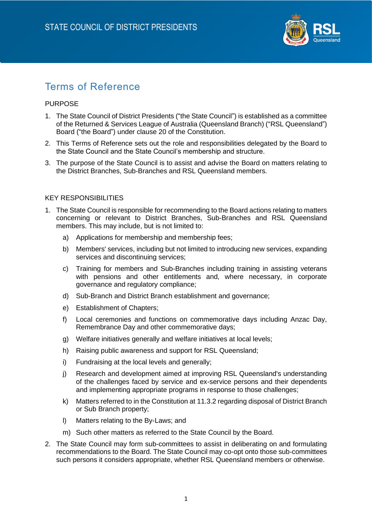

# Terms of Reference

# **PURPOSE**

- 1. The State Council of District Presidents ("the State Council") is established as a committee of the Returned & Services League of Australia (Queensland Branch) ("RSL Queensland") Board ("the Board") under clause 20 of the Constitution.
- 2. This Terms of Reference sets out the role and responsibilities delegated by the Board to the State Council and the State Council's membership and structure.
- 3. The purpose of the State Council is to assist and advise the Board on matters relating to the District Branches, Sub-Branches and RSL Queensland members.

# KEY RESPONSIBILITIES

- 1. The State Council is responsible for recommending to the Board actions relating to matters concerning or relevant to District Branches, Sub-Branches and RSL Queensland members. This may include, but is not limited to:
	- a) Applications for membership and membership fees;
	- b) Members' services, including but not limited to introducing new services, expanding services and discontinuing services;
	- c) Training for members and Sub-Branches including training in assisting veterans with pensions and other entitlements and, where necessary, in corporate governance and regulatory compliance;
	- d) Sub-Branch and District Branch establishment and governance;
	- e) Establishment of Chapters;
	- f) Local ceremonies and functions on commemorative days including Anzac Day, Remembrance Day and other commemorative days;
	- g) Welfare initiatives generally and welfare initiatives at local levels;
	- h) Raising public awareness and support for RSL Queensland;
	- i) Fundraising at the local levels and generally;
	- j) Research and development aimed at improving RSL Queensland's understanding of the challenges faced by service and ex-service persons and their dependents and implementing appropriate programs in response to those challenges;
	- k) Matters referred to in the Constitution at 11.3.2 regarding disposal of District Branch or Sub Branch property;
	- l) Matters relating to the By-Laws; and
	- m) Such other matters as referred to the State Council by the Board.
- 2. The State Council may form sub-committees to assist in deliberating on and formulating recommendations to the Board. The State Council may co-opt onto those sub-committees such persons it considers appropriate, whether RSL Queensland members or otherwise.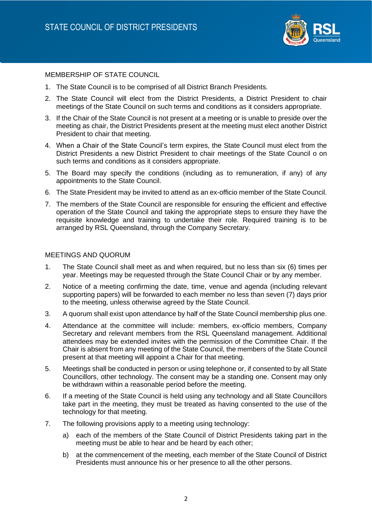

## MEMBERSHIP OF STATE COUNCIL

- 1. The State Council is to be comprised of all District Branch Presidents.
- 2. The State Council will elect from the District Presidents, a District President to chair meetings of the State Council on such terms and conditions as it considers appropriate.
- 3. If the Chair of the State Council is not present at a meeting or is unable to preside over the meeting as chair, the District Presidents present at the meeting must elect another District President to chair that meeting.
- 4. When a Chair of the State Council's term expires, the State Council must elect from the District Presidents a new District President to chair meetings of the State Council o on such terms and conditions as it considers appropriate.
- 5. The Board may specify the conditions (including as to remuneration, if any) of any appointments to the State Council.
- 6. The State President may be invited to attend as an ex-officio member of the State Council.
- 7. The members of the State Council are responsible for ensuring the efficient and effective operation of the State Council and taking the appropriate steps to ensure they have the requisite knowledge and training to undertake their role. Required training is to be arranged by RSL Queensland, through the Company Secretary.

#### MEETINGS AND QUORUM

- 1. The State Council shall meet as and when required, but no less than six (6) times per year. Meetings may be requested through the State Council Chair or by any member.
- 2. Notice of a meeting confirming the date, time, venue and agenda (including relevant supporting papers) will be forwarded to each member no less than seven (7) days prior to the meeting, unless otherwise agreed by the State Council.
- 3. A quorum shall exist upon attendance by half of the State Council membership plus one.
- 4. Attendance at the committee will include: members, ex-officio members, Company Secretary and relevant members from the RSL Queensland management. Additional attendees may be extended invites with the permission of the Committee Chair. If the Chair is absent from any meeting of the State Council, the members of the State Council present at that meeting will appoint a Chair for that meeting.
- 5. Meetings shall be conducted in person or using telephone or, if consented to by all State Councillors, other technology. The consent may be a standing one. Consent may only be withdrawn within a reasonable period before the meeting.
- 6. If a meeting of the State Council is held using any technology and all State Councillors take part in the meeting, they must be treated as having consented to the use of the technology for that meeting.
- 7. The following provisions apply to a meeting using technology:
	- a) each of the members of the State Council of District Presidents taking part in the meeting must be able to hear and be heard by each other;
	- b) at the commencement of the meeting, each member of the State Council of District Presidents must announce his or her presence to all the other persons.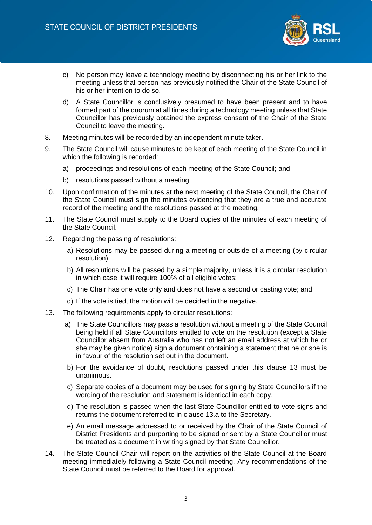

- c) No person may leave a technology meeting by disconnecting his or her link to the meeting unless that person has previously notified the Chair of the State Council of his or her intention to do so.
- d) A State Councillor is conclusively presumed to have been present and to have formed part of the quorum at all times during a technology meeting unless that State Councillor has previously obtained the express consent of the Chair of the State Council to leave the meeting.
- 8. Meeting minutes will be recorded by an independent minute taker.
- 9. The State Council will cause minutes to be kept of each meeting of the State Council in which the following is recorded:
	- a) proceedings and resolutions of each meeting of the State Council; and
	- b) resolutions passed without a meeting.
- 10. Upon confirmation of the minutes at the next meeting of the State Council, the Chair of the State Council must sign the minutes evidencing that they are a true and accurate record of the meeting and the resolutions passed at the meeting.
- 11. The State Council must supply to the Board copies of the minutes of each meeting of the State Council.
- 12. Regarding the passing of resolutions:
	- a) Resolutions may be passed during a meeting or outside of a meeting (by circular resolution);
	- b) All resolutions will be passed by a simple majority, unless it is a circular resolution in which case it will require 100% of all eligible votes;
	- c) The Chair has one vote only and does not have a second or casting vote; and
	- d) If the vote is tied, the motion will be decided in the negative.
- 13. The following requirements apply to circular resolutions:
	- a) The State Councillors may pass a resolution without a meeting of the State Council being held if all State Councillors entitled to vote on the resolution (except a State Councillor absent from Australia who has not left an email address at which he or she may be given notice) sign a document containing a statement that he or she is in favour of the resolution set out in the document.
	- b) For the avoidance of doubt, resolutions passed under this clause 13 must be unanimous.
	- c) Separate copies of a document may be used for signing by State Councillors if the wording of the resolution and statement is identical in each copy.
	- d) The resolution is passed when the last State Councillor entitled to vote signs and returns the document referred to in clause 13.a to the Secretary.
	- e) An email message addressed to or received by the Chair of the State Council of District Presidents and purporting to be signed or sent by a State Councillor must be treated as a document in writing signed by that State Councillor.
- 14. The State Council Chair will report on the activities of the State Council at the Board meeting immediately following a State Council meeting. Any recommendations of the State Council must be referred to the Board for approval.